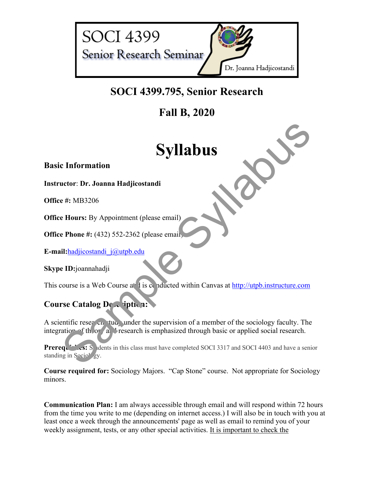

# **SOCI 4399.795, Senior Research**

**Fall B, 2020**

# **Syllabus**

**Basic Information**

**Instructor**: **Dr. Joanna Hadjicostandi** 

**Office #:** MB3206

**Office Hours:** By Appointment (please email)

**Office Phone #:** (432) 552-2362 (please email)

**E-mail:**hadjicostandi\_j@utpb.edu

**Skype ID:**joannahadji

This course is a Web Course  $a \cdot 1$  is conducted within Canvas at http://utpb.instructure.com

# **Course Catalog Description:**

A scientific research study under the supervision of a member of the sociology faculty. The integration of the organized is emphasized through basic or applied social research. **Syllabus**<br> **Syllabus**<br> **e #:** MB3206<br> **e Hours:** By Appointment (please email)<br> **e Phone** #: (432) 552-2362 (please email)<br> **ii:**hadjicostandi j@utpb.edu<br> **iii:**hadjicostandi j@utpb.edu<br> **iii:**hadjicostandi j@utpb.edu<br>

**Prerequisition:** Students in this class must have completed SOCI 3317 and SOCI 4403 and have a senior standing in Socio<sup>1</sup> gy.

**Course required for:** Sociology Majors. "Cap Stone" course. Not appropriate for Sociology minors.

**Communication Plan:** I am always accessible through email and will respond within 72 hours from the time you write to me (depending on internet access.) I will also be in touch with you at least once a week through the announcements' page as well as email to remind you of your weekly assignment, tests, or any other special activities. It is important to check the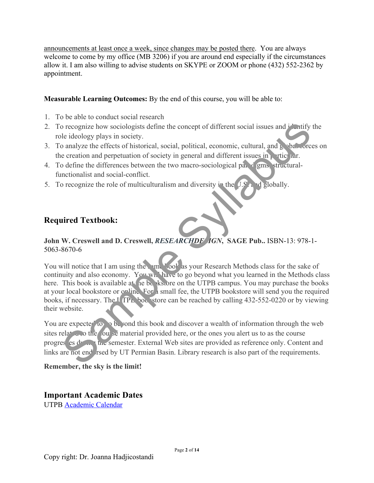announcements at least once a week, since changes may be posted there. You are always welcome to come by my office (MB 3206) if you are around end especially if the circumstances allow it. I am also willing to advise students on SKYPE or ZOOM or phone (432) 552-2362 by appointment.

#### **Measurable Learning Outcomes:** By the end of this course, you will be able to:

- 1. To be able to conduct social research
- 2. To recognize how sociologists define the concept of different social issues and *i*dentify the role ideology plays in society.
- 3. To analyze the effects of historical, social, political, economic, cultural, and  $\epsilon$  bal forces on the creation and perpetuation of society in general and different issues in particular.
- 4. To define the differences between the two macro-sociological paradigms, structuralfunctionalist and social-conflict.
- 5. To recognize the role of multiculturalism and diversity in the  $(1.5^{\circ})$  and globally.

## **Required Textbook:**

#### **John W. Creswell and D. Creswell,** *RESEARCHDF**IGN***, SAGE Pub.. ISBN-13: 978-1-**5063-8670-6

You will notice that I am using the same book as your Research Methods class for the sake of continuity and also economy. You will have to go beyond what you learned in the Methods class here. This book is available at the bookstore on the UTPB campus. You may purchase the books at your local bookstore or online. For a small fee, the UTPB bookstore will send you the required books, if necessary. The UTP<sub>b</sub> bookstore can be reached by calling  $432-552-0220$  or by viewing their website. of coronalize how sociologists define the concept of different social issues and identify<br>
be ideology plays in society.<br>
and a local control is effects of historical, social, political, economic, cultural, and is blatter

You are expected to go beyond this book and discover a wealth of information through the web sites related to the course material provided here, or the ones you alert us to as the course progres es  $d_{\text{max}}$  the semester. External Web sites are provided as reference only. Content and links are not end rsed by UT Permian Basin. Library research is also part of the requirements.

#### **Remember, the sky is the limit!**

# **Important Academic Dates**

UTPB Academic Calendar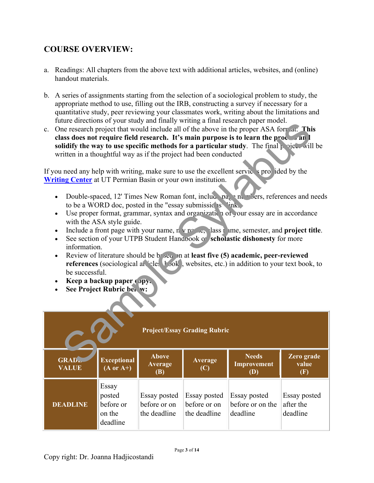# **COURSE OVERVIEW:**

- a. Readings: All chapters from the above text with additional articles, websites, and (online) handout materials.
- b. A series of assignments starting from the selection of a sociological problem to study, the appropriate method to use, filling out the IRB, constructing a survey if necessary for a quantitative study, peer reviewing your classmates work, writing about the limitations and future directions of your study and finally writing a final research paper model.
- c. One research project that would include all of the above in the proper ASA format. **This class does not require field research. It's main purpose is to learn the process and solidify the way to use specific methods for a particular study**. The final project will be written in a thoughtful way as if the project had been conducted

- Double-spaced, 12' Times New Roman font, include  $pa_{\xi}$  numbers, references and needs to be a WORD doc, posted in the "essay submissic is  $\mathbf{Fink.}$
- Use proper format, grammar, syntax and organization of your essay are in accordance with the ASA style guide.
- Include a front page with your name,  $n \times n$   $\infty$ , lass name, semester, and **project title**.
- See section of your UTPB Student Handbook on **scholastic dishonesty** for more information.
- Review of literature should be based on at least five (5) academic, peer-reviewed **references** (sociological articles, book), websites, etc.) in addition to your text book, to be successful.
- **Keep a backup paper copy.**
- See Project Rubric bel. w:

| Tuture un centrolls of your study and finally writing a final research paper model.<br>One research project that would include all of the above in the proper ASA formal. This<br>$\mathbf{c}$ .<br>class does not require field research. It's main purpose is to learn the process and<br>solidify the way to use specific methods for a particular study. The final $\mu$ ojet will be<br>written in a thoughtful way as if the project had been conducted                                                                                                                                                                                                                                                                                                                                                                                                                                                                                                                                                    |                                                                                                                                                                                                          |                                              |                                              |                                              |                                       |  |  |
|------------------------------------------------------------------------------------------------------------------------------------------------------------------------------------------------------------------------------------------------------------------------------------------------------------------------------------------------------------------------------------------------------------------------------------------------------------------------------------------------------------------------------------------------------------------------------------------------------------------------------------------------------------------------------------------------------------------------------------------------------------------------------------------------------------------------------------------------------------------------------------------------------------------------------------------------------------------------------------------------------------------|----------------------------------------------------------------------------------------------------------------------------------------------------------------------------------------------------------|----------------------------------------------|----------------------------------------------|----------------------------------------------|---------------------------------------|--|--|
| If you need any help with writing, make sure to use the excellent services projeted by the<br><b>Writing Center</b> at UT Permian Basin or your own institution.<br>Double-spaced, 12' Times New Roman font, include page new series, references and needs<br>to be a WORD doc, posted in the "essay submissic is "ink.<br>Use proper format, grammar, syntax and organization of your essay are in accordance<br>$\bullet$<br>with the ASA style guide.<br>Include a front page with your name, $n \vee n \wedge \ldots$ , lass i ame, semester, and project title.<br>$\bullet$<br>See section of your UTPB Student Handbook of scholastic dishonesty for more<br>$\bullet$<br>information.<br>Review of literature should be bosed on at least five (5) academic, peer-reviewed<br>$\bullet$<br>references (sociological at 'cles k ook, websites, etc.) in addition to your text book, to<br>be successful.<br>Keep a backup paper (opy.<br>See Project Rubric be. w:<br><b>Project/Essay Grading Rubric</b> |                                                                                                                                                                                                          |                                              |                                              |                                              |                                       |  |  |
| <b>GRAD.</b><br><b>VALUE</b>                                                                                                                                                                                                                                                                                                                                                                                                                                                                                                                                                                                                                                                                                                                                                                                                                                                                                                                                                                                     | <b>Needs</b><br><b>Above</b><br>Zero grade<br><b>Exceptional</b><br>Average<br>value<br>Improvement<br><b>Average</b><br>$(A \text{ or } A^+))$<br>(C)<br>(F)<br><b>(B)</b><br>$\overline{(\mathbf{D})}$ |                                              |                                              |                                              |                                       |  |  |
| <b>DEADLINE</b>                                                                                                                                                                                                                                                                                                                                                                                                                                                                                                                                                                                                                                                                                                                                                                                                                                                                                                                                                                                                  | Essay<br>posted<br>before or<br>on the<br>deadline                                                                                                                                                       | Essay posted<br>before or on<br>the deadline | Essay posted<br>before or on<br>the deadline | Essay posted<br>before or on the<br>deadline | Essay posted<br>after the<br>deadline |  |  |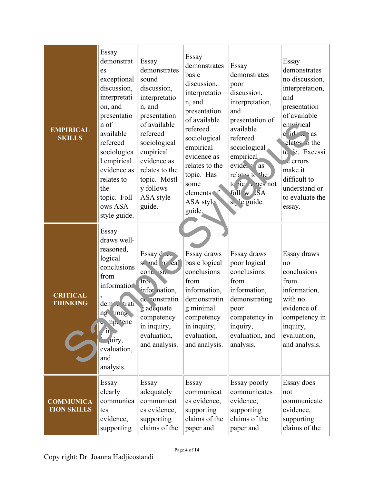| <b>EMPIRICAL</b><br><b>SKILLS</b>      | Essay<br>demonstrat<br>es<br>exceptional<br>discussion,<br>interpretati<br>on, and<br>presentatio<br>n of<br>available<br>refereed<br>sociologica<br>1 empirical<br>evidence as<br>relates to<br>the<br>topic. Foll<br>ows ASA<br>style guide. | Essay<br>demonstrates<br>sound<br>discussion,<br>interpretatio<br>n, and<br>presentation<br>of available<br>refereed<br>sociological<br>empirical<br>evidence as<br>relates to the<br>topic. Mostl<br>y follows<br>ASA style<br>guide. | Essay<br>demonstrates<br>basic<br>discussion,<br>interpretatio<br>n, and<br>presentation<br>of available<br>refereed<br>sociological<br>empirical<br>evidence as<br>relates to the<br>topic. Has<br>some<br>elements f<br>ASA style<br>guide. | Essay<br>demonstrates<br>poor<br>discussion,<br>interpretation,<br>and<br>presentation of<br>available<br>refereed<br>sociological<br>empirical<br>evide. as<br>relates to the<br>to sic a bes not<br>foll w SA<br>st le guide. | Essay<br>demonstrates<br>no discussion,<br>interpretation,<br>and<br>presentation<br>of available<br>empirical<br>$e$ ide $\Box$ as<br>relates o the<br>to ic. Excessi<br>$\epsilon$ errors<br>make it<br>difficult to<br>understand or<br>to evaluate the<br>essay. |
|----------------------------------------|------------------------------------------------------------------------------------------------------------------------------------------------------------------------------------------------------------------------------------------------|----------------------------------------------------------------------------------------------------------------------------------------------------------------------------------------------------------------------------------------|-----------------------------------------------------------------------------------------------------------------------------------------------------------------------------------------------------------------------------------------------|---------------------------------------------------------------------------------------------------------------------------------------------------------------------------------------------------------------------------------|----------------------------------------------------------------------------------------------------------------------------------------------------------------------------------------------------------------------------------------------------------------------|
| <b>CRITICAL</b><br><b>THINKING</b>     | Essay<br>draws well-<br>reasoned,<br>logical<br>conclusions<br>from<br>information<br>dem <sup>-</sup><br>trati<br>ng trong<br>mp tenc<br>$\overline{\mathbf{m}}$<br>$_4$ uiry,<br>evaluation,<br>and<br>analysis.                             | Essay $d_{\infty}$<br>se und prical<br>concersion<br><b>ITOL</b><br>infor nation,<br>de nonstratin<br>g adequate<br>competency<br>in inquiry,<br>evaluation,<br>and analysis.                                                          | Essay draws<br>basic logical<br>conclusions<br>from<br>information,<br>demonstratin<br>g minimal<br>competency<br>in inquiry,<br>evaluation,<br>and analysis.                                                                                 | Essay draws<br>poor logical<br>conclusions<br>from<br>information,<br>demonstrating<br>poor<br>competency in<br>inquiry,<br>evaluation, and<br>analysis.                                                                        | Essay draws<br>no<br>conclusions<br>from<br>information,<br>with no<br>evidence of<br>competency in<br>inquiry,<br>evaluation,<br>and analysis.                                                                                                                      |
| <b>COMMUNICA</b><br><b>TION SKILLS</b> | Essay<br>clearly<br>communica<br>tes<br>evidence,<br>supporting                                                                                                                                                                                | Essay<br>adequately<br>communicat<br>es evidence,<br>supporting<br>claims of the                                                                                                                                                       | Essay<br>communicat<br>es evidence,<br>supporting<br>claims of the<br>paper and                                                                                                                                                               | Essay poorly<br>communicates<br>evidence,<br>supporting<br>claims of the<br>paper and                                                                                                                                           | Essay does<br>not<br>communicate<br>evidence,<br>supporting<br>claims of the                                                                                                                                                                                         |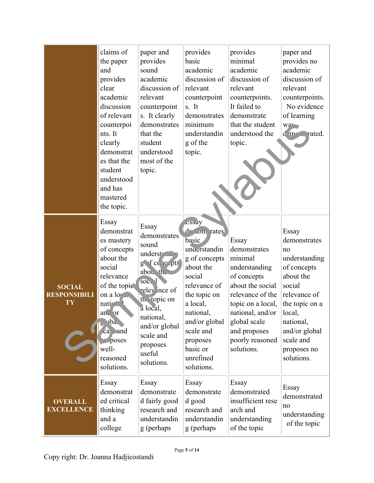|                                     | claims of<br>the paper<br>and<br>provides<br>clear<br>academic<br>discussion<br>of relevant<br>counterpoi<br>nts. It<br>clearly<br>demonstrat<br>es that the<br>student<br>understood<br>and has<br>mastered<br>the topic. | paper and<br>provides<br>sound<br>academic<br>discussion of<br>relevant<br>counterpoint<br>s. It clearly<br>demonstrates<br>that the<br>student<br>understood<br>most of the<br>topic.                        | provides<br>basic<br>academic<br>discussion of<br>relevant<br>counterpoint<br>s. It<br>demonstrates<br>minimum<br>understandin<br>g of the<br>topic.                                                                            | provides<br>minimal<br>academic<br>discussion of<br>relevant<br>counterpoints.<br>It failed to<br>demonstrate<br>that the student<br>understood the<br>topic.                                                      | paper and<br>provides no<br>academic<br>discussion of<br>relevant<br>counterpoints.<br>No evidence<br>of learning<br>Was<br>d me rated.                                                                |
|-------------------------------------|----------------------------------------------------------------------------------------------------------------------------------------------------------------------------------------------------------------------------|---------------------------------------------------------------------------------------------------------------------------------------------------------------------------------------------------------------|---------------------------------------------------------------------------------------------------------------------------------------------------------------------------------------------------------------------------------|--------------------------------------------------------------------------------------------------------------------------------------------------------------------------------------------------------------------|--------------------------------------------------------------------------------------------------------------------------------------------------------------------------------------------------------|
| <b>SOCIAL</b><br>RESPONSIBILI<br>TY | Essay<br>demonstrat<br>es mastery<br>of concepts<br>about the<br>social<br>relevance<br>of the topic<br>on a lor<br>$n \times \mathbb{Z}$<br>and or<br>$\Delta$<br>ర<br>ca and<br>poses<br>well-<br>reasoned<br>solutions. | Essay<br>demonstrates<br>sound<br>underst min<br>g f cc to pts<br>abou the<br>soc.1<br>relev nce of<br>th topic on<br>a local,<br>national,<br>and/or global<br>scale and<br>proposes<br>useful<br>solutions. | cssay<br>de on rates<br>basic<br>understandin<br>g of concepts<br>about the<br>social<br>relevance of<br>the topic on<br>a local,<br>national,<br>and/or global<br>scale and<br>proposes<br>basic or<br>unrefined<br>solutions. | Essay<br>demonstrates<br>minimal<br>understanding<br>of concepts<br>about the social<br>relevance of the<br>topic on a local,<br>national, and/or<br>global scale<br>and proposes<br>poorly reasoned<br>solutions. | Essay<br>demonstrates<br>no<br>understanding<br>of concepts<br>about the<br>social<br>relevance of<br>the topic on a<br>local,<br>national,<br>and/or global<br>scale and<br>proposes no<br>solutions. |
| <b>OVERALL</b><br><b>EXCELLENCE</b> | Essay<br>demonstrat<br>ed critical<br>thinking<br>and a<br>college                                                                                                                                                         | Essay<br>demonstrate<br>d fairly good<br>research and<br>understandin<br>g (perhaps                                                                                                                           | Essay<br>demonstrate<br>d good<br>research and<br>understandin<br>g (perhaps                                                                                                                                                    | Essay<br>demonstrated<br>insufficient rese<br>arch and<br>understanding<br>of the topic                                                                                                                            | Essay<br>demonstrated<br>no<br>understanding<br>of the topic                                                                                                                                           |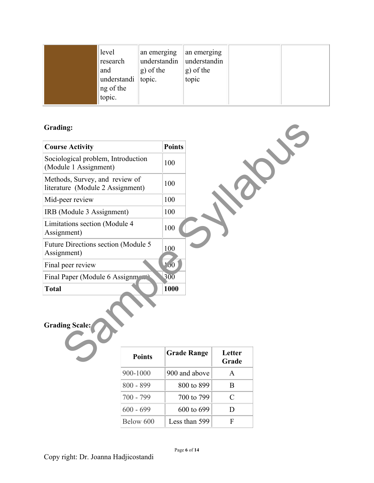| level<br>research<br>and<br>understandi<br>ng of the<br>topic. | an emerging<br>understandin<br>g) of the<br>$ $ topic. | an emerging<br>understandin<br>$ g $ of the<br>topic |  |  |
|----------------------------------------------------------------|--------------------------------------------------------|------------------------------------------------------|--|--|
|----------------------------------------------------------------|--------------------------------------------------------|------------------------------------------------------|--|--|

# **Grading:**

| <b>Grading:</b>                                                    |               |                               |                    |                 |
|--------------------------------------------------------------------|---------------|-------------------------------|--------------------|-----------------|
| <b>Course Activity</b>                                             |               | <b>Points</b>                 |                    |                 |
| Sociological problem, Introduction<br>(Module 1 Assignment)        |               | 100                           |                    |                 |
| Methods, Survey, and review of<br>literature (Module 2 Assignment) |               | 100                           |                    |                 |
| Mid-peer review                                                    |               | 100                           |                    |                 |
| IRB (Module 3 Assignment)                                          |               | 100                           |                    |                 |
| Limitations section (Module 4<br>Assignment)                       |               | 100                           |                    |                 |
| Future Directions section (Module 5<br>Assignment)                 |               | 100                           |                    |                 |
| Final peer review                                                  |               | $\overline{1}$ $\overline{0}$ |                    |                 |
| Final Paper (Module 6 Assignment                                   |               | 300                           |                    |                 |
| <b>Total</b>                                                       |               | 1000                          |                    |                 |
| <b>Grading Scale:</b>                                              | <b>Points</b> |                               | <b>Grade Range</b> | Letter<br>Grade |
| 900-1000                                                           |               |                               | 900 and above      | $\mathbf{A}$    |
| 800 - 899                                                          |               |                               | 800 to 899         | B               |
|                                                                    | $700 - 799$   |                               | 700 to 799         | $\mathcal{C}$   |
|                                                                    | $600 - 699$   |                               | 600 to 699         | D               |
|                                                                    | Below 600     |                               | Less than 599      | ${\bf F}$       |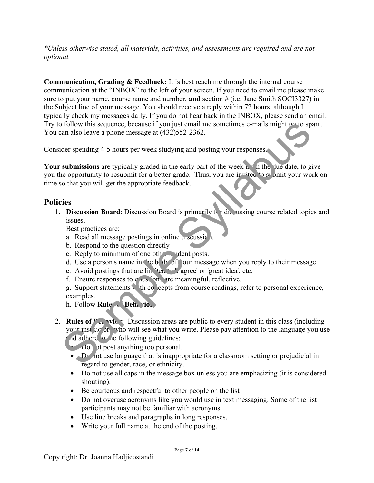*\*Unless otherwise stated, all materials, activities, and assessments are required and are not optional.*

**Communication, Grading & Feedback:** It is best reach me through the internal course communication at the "INBOX" to the left of your screen. If you need to email me please make sure to put your name, course name and number, **and** section # (i.e. Jane Smith SOCI3327) in the Subject line of your message. You should receive a reply within 72 hours, although I typically check my messages daily. If you do not hear back in the INBOX, please send an email. Try to follow this sequence, because if you just email me sometimes e-mails might go to spam. You can also leave a phone message at (432)552-2362.

Consider spending 4-5 hours per week studying and posting your responses.

**Your submissions** are typically graded in the early part of the week  $\mathbf{r}$  in the due date, to give you the opportunity to resubmit for a better grade. Thus, you are invited to submit your work on time so that you will get the appropriate feedback. follow this sequence, because if you just email me sometimes e-mails might go to sp<br>an also leave a phone message at (432)552-2362.<br>
der spending 4-5 hours per week studying and posting your responses<br>
submissions are typ

#### **Policies**

1. **Discussion Board**: Discussion Board is primarily for discussing course related topics and issues.

Best practices are:

- a. Read all message postings in online discussion
- b. Respond to the question directly
- c. Reply to minimum of one other student posts.
- d. Use a person's name in the body of your message when you reply to their message.
- e. Avoid postings that are limited to 'agree' or 'great idea', etc.
- f. Ensure responses to  $\sigma$  are meaningful, reflective.

g. Support statements with concepts from course readings, refer to personal experience, examples.

- h. Follow **Rule & Beh. vio.**
- 2. **Rules of**  $\mathbf{F}_{\text{ext}}$  **vivents:** Discussion areas are public to every student in this class (including your inst uc or who will see what you write. Please pay attention to the language you use  $\Lambda$ d adhere  $\sim$  he following guidelines:
	- $\sim$   $\sqrt{20}$  ot post anything too personal.
	- $\bullet$  D<sub> $\circ$ </sub> not use language that is inappropriate for a classroom setting or prejudicial in regard to gender, race, or ethnicity.
	- Do not use all caps in the message box unless you are emphasizing (it is considered shouting).
	- Be courteous and respectful to other people on the list
	- Do not overuse acronyms like you would use in text messaging. Some of the list participants may not be familiar with acronyms.
	- Use line breaks and paragraphs in long responses.
	- Write your full name at the end of the posting.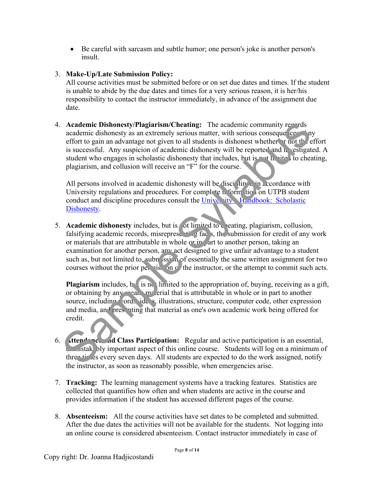• Be careful with sarcasm and subtle humor; one person's joke is another person's insult.

#### 3. **Make-Up/Late Submission Policy:**

All course activities must be submitted before or on set due dates and times. If the student is unable to abide by the due dates and times for a very serious reason, it is her/his responsibility to contact the instructor immediately, in advance of the assignment due date.

4. **Academic Dishonesty/Plagiarism/Cheating:** The academic community regards academic dishonesty as an extremely serious matter, with serious consequences. Any effort to gain an advantage not given to all students is dishonest whether  $\mathbf{r}$  not the effort is successful. Any suspicion of academic dishonesty will be reported and *h* vestigated. A student who engages in scholastic dishonesty that includes, but is not limited to cheating, plagiarism, and collusion will receive an "F" for the course.

All persons involved in academic dishonesty will be disciplined in accordance with University regulations and procedures. For complete  $\mathbf{h}$  form tion on UTPB student conduct and discipline procedures consult the University Handbook: Scholastic Dishonesty.

5. **Academic dishonesty** includes, but is **our limited to cheating**, plagiarism, collusion, falsifying academic records, misrepresenting factors, the submission for credit of any work or materials that are attributable in whole or in part to another person, taking an examination for another person, any act designed to give unfair advantage to a student such as, but not limited to, submeters of essentially the same written assignment for two courses without the prior permission  $\circ$  the instructor, or the attempt to commit such acts. Academic Dishonesty/Plagiarism/Cheating: The academic community records<br>
academic dishonesty as an extremely serious matter, with serious conseque ( $\mathbf{c}^{\alpha}$ )<br>
action (i.e., and  $\alpha$ ) and and academic dishonesty will b

**Plagiarism** includes, by is not limited to the appropriation of, buying, receiving as a gift, or obtaining by any mean  $\mathbf{m}$  erial that is attributable in whole or in part to another source, including words, ideas, illustrations, structure, computer code, other expression and media, and presenting that material as one's own academic work being offered for credit.

- 6. **Attendance and Class Participation:** Regular and active participation is an essential, unitak bly important aspect of this online course. Students will log on a minimum of three times every seven days. All students are expected to do the work assigned, notify the instructor, as soon as reasonably possible, when emergencies arise.
- 7. **Tracking:** The learning management systems have a tracking features. Statistics are collected that quantifies how often and when students are active in the course and provides information if the student has accessed different pages of the course.
- 8. **Absenteeism:** All the course activities have set dates to be completed and submitted. After the due dates the activities will not be available for the students. Not logging into an online course is considered absenteeism. Contact instructor immediately in case of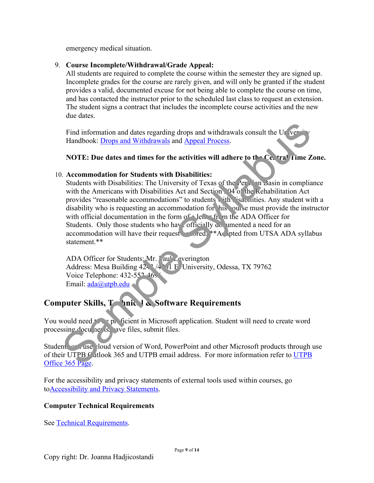emergency medical situation.

#### 9. **Course Incomplete/Withdrawal/Grade Appeal:**

All students are required to complete the course within the semester they are signed up. Incomplete grades for the course are rarely given, and will only be granted if the student provides a valid, documented excuse for not being able to complete the course on time, and has contacted the instructor prior to the scheduled last class to request an extension. The student signs a contract that includes the incomplete course activities and the new due dates.

Find information and dates regarding drops and withdrawals consult the University Handbook: Drops and Withdrawals and Appeal Process.

#### **NOTE: Due dates and times for the activities will adhere to the Central Time Zone.**

#### 10. **Accommodation for Students with Disabilities:**

Students with Disabilities: The University of Texas of the Permian Basin in compliance with the Americans with Disabilities Act and Section. <sup>04</sup> of the Kehabilitation Act provides "reasonable accommodations" to students with disabilities. Any student with a disability who is requesting an accommodation for his ourse must provide the instructor with official documentation in the form of  $\triangleleft$  letter from the ADA Officer for Students. Only those students who have officially documented a need for an accommodation will have their request horizontal. \*\*Ad pted from UTSA ADA syllabus statement.\*\* Find information and dates regarding drops and withdrawals consult the Ur Kersity<br>Handbook: <u>Drops and Withdrawals</u> and Appeal Process.<br>
NOTE: Due dates and times for the activities will adhere to the Ce. tral I ime Z<br>
Ac

ADA Officer for Students: Mr. Paul Leverington Address: Mesa Building  $42.3/4$  1 F. University, Odessa, TX 79762 Voice Telephone:  $432-552-4696$ Email: ada@utpb.edu

# **Computer Skills, Think I & Software Requirements**

You would need  $t \rightarrow p_1$  ficient in Microsoft application. Student will need to create word processing document as  $\alpha$  ave files, submit files.

Student can use cloud version of Word, PowerPoint and other Microsoft products through use of their UTPB  $\epsilon$  at look 365 and UTPB email address. For more information refer to UTPB Office 365 Page.

For the accessibility and privacy statements of external tools used within courses, go toAccessibility and Privacy Statements.

#### **Computer Technical Requirements**

See Technical Requirements.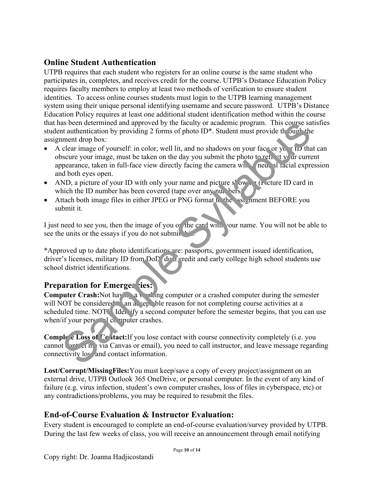# **Online Student Authentication**

UTPB requires that each student who registers for an online course is the same student who participates in, completes, and receives credit for the course. UTPB's Distance Education Policy requires faculty members to employ at least two methods of verification to ensure student identities. To access online courses students must login to the UTPB learning management system using their unique personal identifying username and secure password. UTPB's Distance Education Policy requires at least one additional student identification method within the course that has been determined and approved by the faculty or academic program. This course satisfies student authentication by providing 2 forms of photo  $ID^*$ . Student must provide through the assignment drop box:

- A clear image of yourself: in color, well lit, and no shadows on your face or your  $\ln D$  that can obscure your image, must be taken on the day you submit the photo to reflect  $\mathbf{y}$  and current appearance, taken in full-face view directly facing the camera with a neutral racial expression and both eyes open. as been determined and approved by the lactuly or accombing more in This course as<br>a secure duration by providing 2 forms of photo ID\*. Student must provide the Jupit-the<br>ment drop box:<br>the dramage of yourself: in color,
- AND, a picture of your ID with only your name and picture s' ow  $\mathbb{R}^n$  (Ficture ID card in which the ID number has been covered (tape over any numbers).
- Attach both image files in either JPEG or PNG format to the saignment BEFORE you submit it.

I just need to see you, then the image of you or the card with your name. You will not be able to see the units or the essays if you do not submit  $\ddot{\ }$ .

\*Approved up to date photo identifications are: passports, government issued identification, driver's licenses, military ID from DoD<sup>du</sup> a credit and early college high school students use school district identifications.

# **Preparation for Emergencies:**

**Computer Crash:**Not having a working computer or a crashed computer during the semester will NOT be considered an acceptuble reason for not completing course activities at a scheduled time. NOTE Identify a second computer before the semester begins, that you can use when/if your pers  $\Box$  computer crashes.

**Complete Loss of Contact:**If you lose contact with course connectivity completely (i.e. you cannot contact me via Canvas or email), you need to call instructor, and leave message regarding connectivity loss and contact information.

**Lost/Corrupt/MissingFiles:**You must keep/save a copy of every project/assignment on an external drive, UTPB Outlook 365 OneDrive, or personal computer. In the event of any kind of failure (e.g. virus infection, student's own computer crashes, loss of files in cyberspace, etc) or any contradictions/problems, you may be required to resubmit the files.

# **End-of-Course Evaluation & Instructor Evaluation:**

Every student is encouraged to complete an end-of-course evaluation/survey provided by UTPB. During the last few weeks of class, you will receive an announcement through email notifying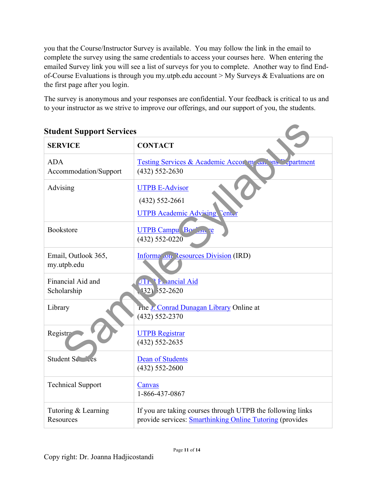you that the Course/Instructor Survey is available. You may follow the link in the email to complete the survey using the same credentials to access your courses here. When entering the emailed Survey link you will see a list of surveys for you to complete. Another way to find Endof-Course Evaluations is through you my.utpb.edu account > My Surveys & Evaluations are on the first page after you login.

The survey is anonymous and your responses are confidential. Your feedback is critical to us and to your instructor as we strive to improve our offerings, and our support of you, the students.

| <b>Student Support Services</b>     |                                                                                                                        |  |  |  |
|-------------------------------------|------------------------------------------------------------------------------------------------------------------------|--|--|--|
| <b>SERVICE</b>                      | <b>CONTACT</b>                                                                                                         |  |  |  |
| <b>ADA</b><br>Accommodation/Support | Testing Services & Academic Accor m Jan. Ins Contract<br>$(432) 552 - 2630$                                            |  |  |  |
| Advising                            | <b>UTPB E-Advisor</b><br>$(432)$ 552-2661<br><b>UTPB</b> Academic Advising Tenter                                      |  |  |  |
| Bookstore                           | UTPB Campu Bor on e<br>$(432) 552 - 0220$                                                                              |  |  |  |
| Email, Outlook 365,<br>my.utpb.edu  | Information Resources Division (IRD)                                                                                   |  |  |  |
| Financial Aid and<br>Scholarship    | JTE P. Ancial Aid<br>132) 52-2620                                                                                      |  |  |  |
| Library                             | The J. Conrad Dunagan Library Online at<br>$(432) 552 - 2370$                                                          |  |  |  |
| Registr                             | <b>UTPB Registrar</b><br>$(432) 552 - 2635$                                                                            |  |  |  |
| Student School                      | Dean of Students<br>$(432) 552 - 2600$                                                                                 |  |  |  |
| <b>Technical Support</b>            | Canvas<br>1-866-437-0867                                                                                               |  |  |  |
| Tutoring & Learning<br>Resources    | If you are taking courses through UTPB the following links<br>provide services: Smarthinking Online Tutoring (provides |  |  |  |

# **Student Support Services**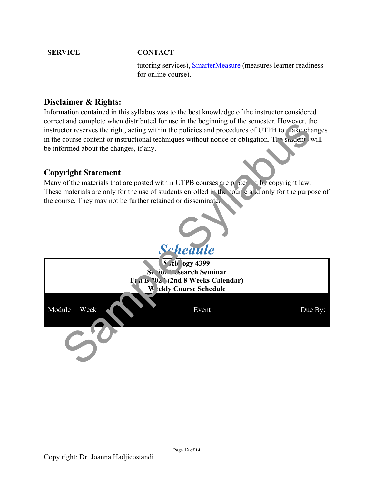| <b>SERVICE</b> | <b>CONTACT</b>                                                                               |
|----------------|----------------------------------------------------------------------------------------------|
|                | tutoring services), <b>SmarterMeasure</b> (measures learner readiness<br>for online course). |

## **Disclaimer & Rights:**

Information contained in this syllabus was to the best knowledge of the instructor considered correct and complete when distributed for use in the beginning of the semester. However, the instructor reserves the right, acting within the policies and procedures of UTPB to make changes in the course content or instructional techniques without notice or obligation. The statent will be informed about the changes, if any.

#### **Copyright Statement**

Many of the materials that are posted within UTPB courses are protected by copyright law. These materials are only for the use of students enrolled in the course and only for the purpose of the course. They may not be further retained or disseminated.

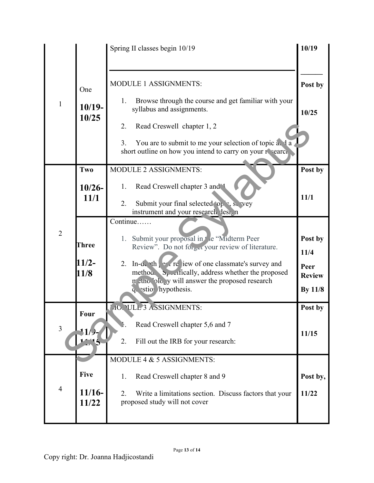|                |                          | Spring II classes begin 10/19                                                                                                                                    | 10/19                 |
|----------------|--------------------------|------------------------------------------------------------------------------------------------------------------------------------------------------------------|-----------------------|
|                | One<br>$10/19-$<br>10/25 | <b>MODULE 1 ASSIGNMENTS:</b>                                                                                                                                     | Post by               |
| $\mathbf{1}$   |                          | Browse through the course and get familiar with your<br>1.<br>syllabus and assignments.                                                                          | 10/25                 |
|                |                          | 2.<br>Read Creswell chapter 1, 2<br>You are to submit to me your selection of topic $a \cdot a$<br>3.                                                            |                       |
|                |                          | short outline on how you intend to carry on your rearch                                                                                                          |                       |
|                | Two                      | MODULE 2 ASSIGNMENTS:                                                                                                                                            | Post by               |
|                | $10/26-$<br>11/1         | Read Creswell chapter 3 and<br>1.<br>2.<br>Submit your final selected 'op's, so vey<br>instrument and your research lest, n                                      | 11/1                  |
|                |                          | Continue                                                                                                                                                         |                       |
| $\overline{2}$ | Three                    | 1. Submit your proposal in the "Midterm Peer"<br>Review". Do not forget your review of literature.                                                               | Post by<br>11/4       |
|                | $11/2 -$<br>11/8         | In-depth extra liew of one classmate's survey and<br>2.<br>method $Sr$ -ifically, address whether the proposed<br>m the 'ole y will answer the proposed research | Peer<br><b>Review</b> |
|                |                          | q. estio /hypothesis.                                                                                                                                            | By $11/8$             |
|                | Four                     | <b>IL VULL 3 ASSIGNMENTS:</b>                                                                                                                                    | Post by               |
| 3              |                          | Read Creswell chapter 5,6 and 7                                                                                                                                  |                       |
|                |                          | 2.<br>Fill out the IRB for your research:                                                                                                                        | 11/15                 |
|                |                          | MODULE 4 & 5 ASSIGNMENTS:                                                                                                                                        |                       |
|                | <b>Five</b>              | Read Creswell chapter 8 and 9<br>1.                                                                                                                              | Post by,              |
| $\overline{4}$ | 11/16-<br>11/22          | 2.<br>Write a limitations section. Discuss factors that your<br>proposed study will not cover                                                                    | 11/22                 |
|                |                          |                                                                                                                                                                  |                       |